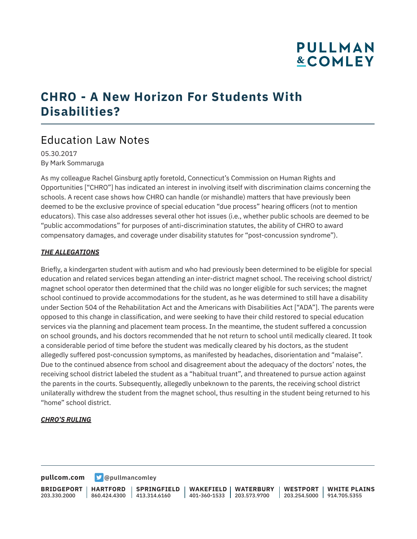## **PULLMAN &COMLEY**

### **CHRO - A New Horizon For Students With Disabilities?**

### Education Law Notes

05.30.2017 By Mark Sommaruga

As my colleague Rachel Ginsburg aptly foretold, Connecticut's Commission on Human Rights and Opportunities ["CHRO"] has indicated an interest in involving itself with discrimination claims concerning the schools. A recent case shows how CHRO can handle (or mishandle) matters that have previously been deemed to be the exclusive province of special education "due process" hearing officers (not to mention educators). This case also addresses several other hot issues (i.e., whether public schools are deemed to be "public accommodations" for purposes of anti-discrimination statutes, the ability of CHRO to award compensatory damages, and coverage under disability statutes for "post-concussion syndrome").

#### *THE ALLEGATIONS*

Briefly, a kindergarten student with autism and who had previously been determined to be eligible for special education and related services began attending an inter-district magnet school. The receiving school district/ magnet school operator then determined that the child was no longer eligible for such services; the magnet school continued to provide accommodations for the student, as he was determined to still have a disability under Section 504 of the Rehabilitation Act and the Americans with Disabilities Act ["ADA"]. The parents were opposed to this change in classification, and were seeking to have their child restored to special education services via the planning and placement team process. In the meantime, the student suffered a concussion on school grounds, and his doctors recommended that he not return to school until medically cleared. It took a considerable period of time before the student was medically cleared by his doctors, as the student allegedly suffered post-concussion symptoms, as manifested by headaches, disorientation and "malaise". Due to the continued absence from school and disagreement about the adequacy of the doctors' notes, the receiving school district labeled the student as a "habitual truant", and threatened to pursue action against the parents in the courts. Subsequently, allegedly unbeknown to the parents, the receiving school district unilaterally withdrew the student from the magnet school, thus resulting in the student being returned to his "home" school district.

#### *CHRO'S RULING*

**[pullcom.com](https://www.pullcom.com) g** [@pullmancomley](https://twitter.com/PullmanComley)

**BRIDGEPORT** 203.330.2000 **HARTFORD** 860.424.4300 413.314.6160 **SPRINGFIELD WAKEFIELD WATERBURY** 401-360-1533 203.573.9700 **WESTPORT WHITE PLAINS** 203.254.5000 914.705.5355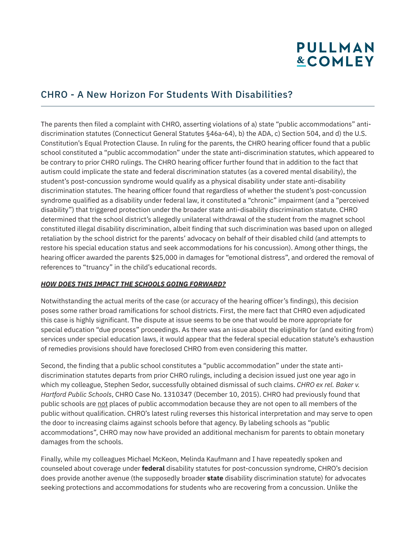# **PULLMAN &COMLEY**

### CHRO - A New Horizon For Students With Disabilities?

The parents then filed a complaint with CHRO, asserting violations of a) state "public accommodations" antidiscrimination statutes (Connecticut General Statutes §46a-64), b) the ADA, c) Section 504, and d) the U.S. Constitution's Equal Protection Clause. In ruling for the parents, the CHRO hearing officer found that a public school constituted a "public accommodation" under the state anti-discrimination statutes, which appeared to be contrary to prior CHRO rulings. The CHRO hearing officer further found that in addition to the fact that autism could implicate the state and federal discrimination statutes (as a covered mental disability), the student's post-concussion syndrome would qualify as a physical disability under state anti-disability discrimination statutes. The hearing officer found that regardless of whether the student's post-concussion syndrome qualified as a disability under federal law, it constituted a "chronic" impairment (and a "perceived disability") that triggered protection under the broader state anti-disability discrimination statute. CHRO determined that the school district's allegedly unilateral withdrawal of the student from the magnet school constituted illegal disability discrimination, albeit finding that such discrimination was based upon on alleged retaliation by the school district for the parents' advocacy on behalf of their disabled child (and attempts to restore his special education status and seek accommodations for his concussion). Among other things, the hearing officer awarded the parents \$25,000 in damages for "emotional distress", and ordered the removal of references to "truancy" in the child's educational records.

#### *HOW DOES THIS IMPACT THE SCHOOLS GOING FORWARD?*

Notwithstanding the actual merits of the case (or accuracy of the hearing officer's findings), this decision poses some rather broad ramifications for school districts. First, the mere fact that CHRO even adjudicated this case is highly significant. The dispute at issue seems to be one that would be more appropriate for special education "due process" proceedings. As there was an issue about the eligibility for (and exiting from) services under special education laws, it would appear that the federal special education statute's exhaustion of remedies provisions should have foreclosed CHRO from even considering this matter.

Second, the finding that a public school constitutes a "public accommodation" under the state antidiscrimination statutes departs from prior CHRO rulings, including a decision issued just one year ago in which my colleague, Stephen Sedor, successfully obtained dismissal of such claims. *CHRO ex rel. Baker v. Hartford Public Schools*, CHRO Case No. 1310347 (December 10, 2015). CHRO had previously found that public schools are not places of public accommodation because they are not open to all members of the public without qualification. CHRO's latest ruling reverses this historical interpretation and may serve to open the door to increasing claims against schools before that agency. By labeling schools as "public accommodations", CHRO may now have provided an additional mechanism for parents to obtain monetary damages from the schools.

Finally, while my colleagues Michael McKeon, Melinda Kaufmann and I have repeatedly spoken and counseled about coverage under **federal** disability statutes for post-concussion syndrome, CHRO's decision does provide another avenue (the supposedly broader **state** disability discrimination statute) for advocates seeking protections and accommodations for students who are recovering from a concussion. Unlike the